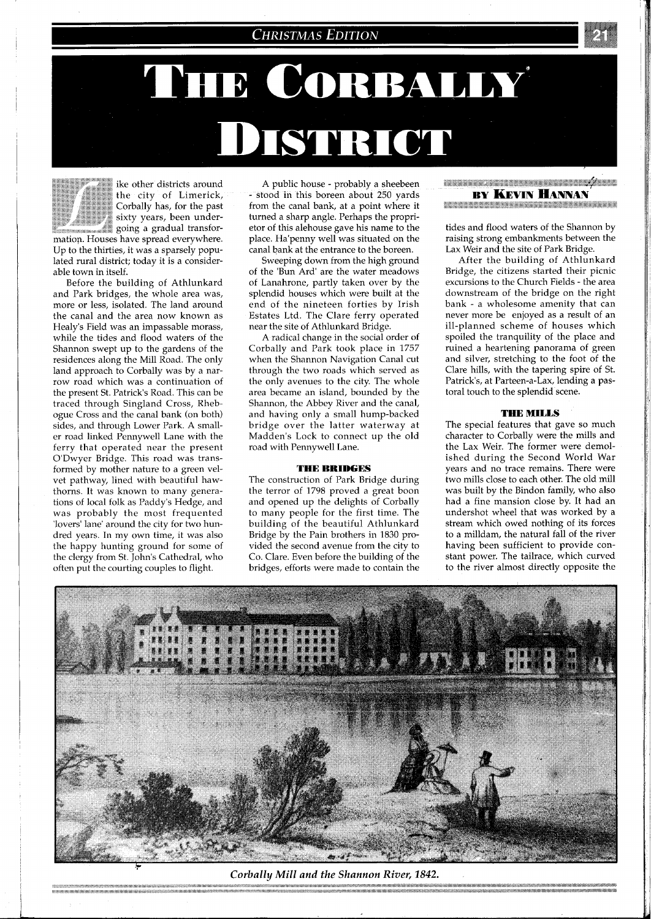# **CHRISTMAS EDITION**

# THE CORBALLY **DISTRICT**

ike other districts around \*\*>\* %\* the city of Limerick, Corbally has, for the past sixty years, been underwhere  $\mathbb{Z}^*$  soing a gradual transformation. Houses have spread everywhere. Up to the thirties, it was a sparsely populated rural district; today it is a considerable town in itself.

Before the building of Athlunkard and Park bridges, the whole area was, more or less, isolated. The land around the canal and the area now known as Healy's Field was an impassable morass, while the tides and flood waters of the Shannon swept up to the gardens of the residences along the Mill Road. The only land approach to Corbally was by a narrow road which was a continuation of the present St. Patrick's Road. This can be traced through Singland Cross, Rhebogue Cross and the canal bank (on both) sides, and through Lower Park. A smaller road linked Pennywell Lane with the ferry that operated near the present O'Dwyer Bridge. This road was transformed by mother nature to a green velvet pathway, lined with beautiful hawthorns. It was known to many generations of local folk as Paddy's Hedge, and was probably the most frequented 'lovers' lane' around the city for two hundred years. In my own time, it was also the happy hunting ground for some of the clergy from St. John's Cathedral, who often put the courting couples to flight.

A public house - probably a sheebeen - stood in this boreen about 250 yards from the canal bank, at a point where it turned a sharp angle. Perhaps the proprietor of this alehouse gave his name to the place. Ha'penny well was situated on the canal bank at the entrance to the boreen.

Sweeping down from the high ground of the 'Bun Ard' are the water meadows of Lanahrone, partly taken over by the splendid houses which were built at the end of the nineteen forties by Irish Estates Ltd. The Clare ferry operated near the site of Athlunkard Bridge.

A radical change in the social order of Corbally and Park took place in 1757 when the Shannon Navigation Canal cut through the two roads which served as the onlv avenues to the citv. The whole area became an island, bounded by the Shannon, the Abbey River and the canal, and having only a small hump-backed bridge over the latter waterway at Madden's Lock to connect up the old road with Pennywell Lane.

### **THE** BRIDGES

The construction of Park Bridge during the terror of 1798 proved a great boon and opened up the delights of Corbally to many people for the first time. The building of the beautiful Athlunkard Bridge by the Pain brothers in 1830 provided the second avenue from the city to Co. Clare. Even before the building of the bridges, efforts were made to contain the

<u> Kananan ya Tananan ya Tana ya Kanan</u> **BY KEVIN HANNAN** 

**THE REPORT OF REAL PROPERTY AND RELEASED FOR A STATISTIC CONTROL** 

tides and flood waters of the Shannon by raising strong embankments between the Lax Weir and the site of Park Bridge.

After the building of Athlunkard Bridge, the citizens started their picnic excursions to the Church Fields - the area downstream of the bridge on the right bank - a wholesome amenity that can never more be enjoyed as a result of an ill-planned scheme of houses which spoiled the tranquility of the place and ruined a heartening panorama of green and silver, stretching to the foot of the Clare hills, with the tapering spire of St. Patrick's, at Parteen-a-Lax, lending a pastoral touch to the splendid scene.

## THE MILLS

The special features that gave so much character to Corbally were the mills and the Lax Weir. The former were demolished during the Second World War years and no trace remains. There were two mills close to each other. The old mill was built by the Bindon family, who also had a fine mansion close by. It had an undershot wheel that was worked by a stream which owed nothing of its forces to a milldam, the natural fall of the river having been sufficient to provide constant power. The tailrace, which curved to the river almost directly opposite the



Corbally Mill and the Shannon River, 1842.

n kan kan kan tingga tingga tingga tingga sa sa masa sa tahun tahun tahun tahun tahun tahun tahun tahun tahun<br>Kalah kerajaan di kara dan satu dalam tahun tahun tahun terdapat dan terdapat dan terdapat dan kecamatan dan t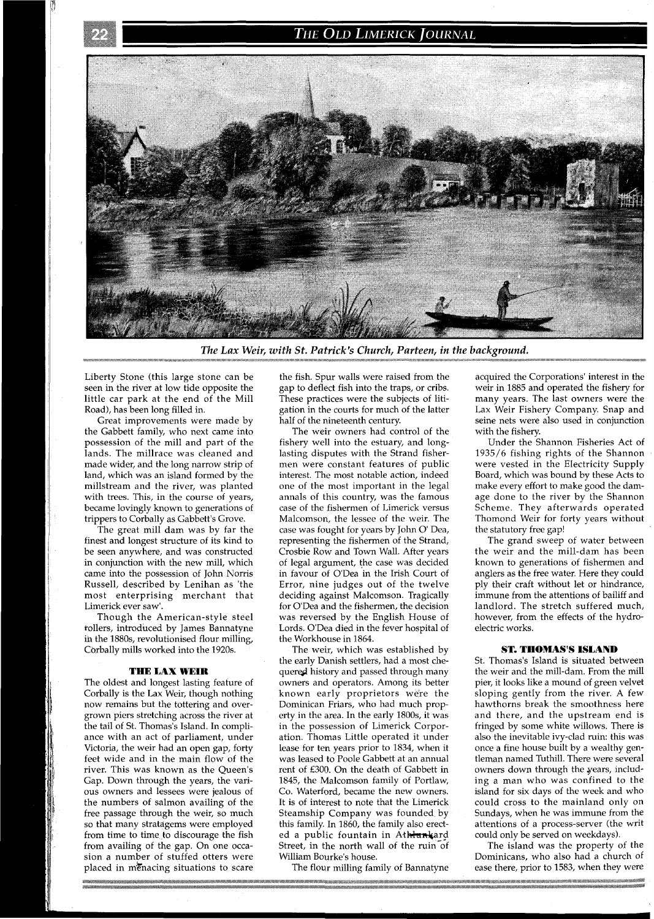## THE OLD LIMERICK JOURNAL



The Lax Weir, with St. Patrick's Church, Parteen, in the background.

Liberty Stone (this large stone can be seen in the river at low tide opposite the little car park at the end of the Mill Road), has been long filled in.

Great improvements were made by the Gabbett family, who next came into possession of the mill and part of the lands. The millrace was cleaned and made wider, and the long narrow strip of land, which was an island formed by the millstream and the river, was planted with trees. This, in the course of years, became lovingly known to generations of trippers to Corbally as Gabbett's Grove.

The great mill dam was by far the finest and longest structure of its kind to be seen anywhere, and was constructed in conjunction with the new mill, which came into the possession of John Norris Russell, described by Lenihan as 'the most enterprising merchant that Limerick ever saw'.

Though the American-style steel tollers, introduced by James Bannatyne ih the 1880s, revolutionised flour milling, Corbally mills worked into the 1920s.

#### THE LAX WEIR

The oldest and longest lasting feature of Corbally is the Lax Weir, though nothing now remains but the tottering and overgrown piers stretching across the river at the tail of St. Thomas's Island. In compliance with an act of parliament, under Victoria, the weir had an open gap, forty feet wide and in the main flow of the river. This was known as the Queen's Gap. Down through the years, the various owners and lessees were jealous of the numbers of salmon availing of the free passage through the weir, so much so that many stratagems were employed from time to time to discourage the fish from availing of the gap. On one occasion a number of stuffed otters were placed in menacing situations to scare

the fish. Spur walls were raised from the gap to deflect fish into the traps, or cribs. These practices were the subjects of litigation in the courts for much of the latter half of the nineteenth century.

The weir owners had control of the fishery well into the estuary, and longlasting disputes with the Strand fishermen were constant features of public interest. The most notable action, indeed one of the most important in the legal annals of this country, was the famous case of the fishermen of Limerick versus Malcomson, the lessee of the weir. The case was fought for years by John *O'* Dea, representing the fishermen of the Strand, Crosbie Row and Town Wall. After years of legal argument, the case was decided in favour of O'Dea in the Irish Court of Error, nine judges out of the twelve deciding against Malcomson. Tragically for O'Dea and the fishermen, the decision was reversed by the English House of Lords. O'Dea died in the fever hospital of the Workhouse in 1864.

The weir, which was established by the early Danish settlers, had a most chequered history and passed through many owners and operators. Among its better known early proprietors were the Dominican Friars, who had much property in the area. In the early 1800s, it was in the possession of Limerick Corporation. Thomas Little operated it under lease for ten years prior to 1834, when it was leased to Poole Gabbett at an annual rent of £300. On the death of Gabbett in 1845, the Malcomson family of Portlaw, Co. Waterford, became the new owners. It is of interest to note that the Limerick Steamship Company was founded by this family. In 1860, the family also erected a public fountain in Athlankard Street, in the north wall of the ruin of William Bourke's house.

The flour milling family of Bannatyne

acquired the Corporations' interest in the weir in 1885 and operated the fishery for many years. The last owners were the Lax Weir Fishery Company. Snap and seine nets were also used in conjunction with the fishery.

Under the Shannon Fisheries Act of 1935/6 fishing rights of the Shannon were vested in the Electricity Supply Board, which was bound by these Acts to make every effort to make good the damage done to the river by the Shannon Scheme. They afterwards operated Thomond Weir for forty years without the statutory free gap!

The grand sweep of water between the weir and the mill-dam has been known to generations of fishermen and anglers as the free water. Here they could ply their craft without let or hindrance, immune from the attentions of bailiff and landlord. The stretch suffered much, however, from the effects of the hydroelectric works.

## ST. THOMAS'S ISLAND

St. Thomas's Island is situated between the weir and the mill-dam. From the mill pier, it looks like a mound of green velvet sloping gently from the river. A few hawthorns break the smoothness here and there, and the upstream end is fringed by some white willows. There is also the inevitable ivy-clad ruin: this was once a fine house built by a wealthy gentleman named Tuthill. There were several owners down through the years, including a man who was confined to the island for six days of the week and who could cross to the mainland only on Sundays, when he was immune from the attentions of a process-server (the writ could only be served on weekdays).

The island was the property of the Dominicans, who also had a church of ease there, prior to 1583, when they were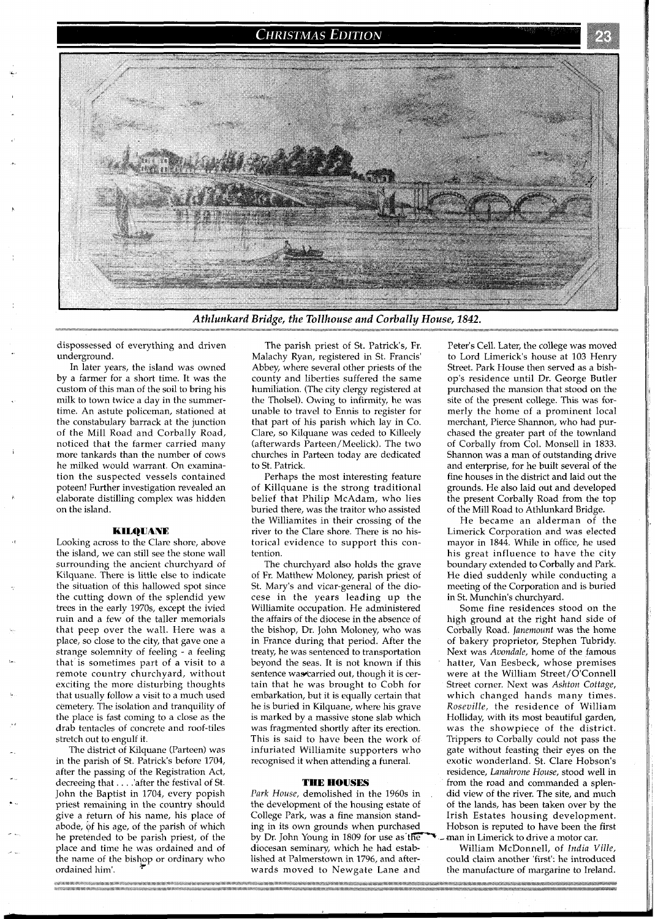## **CHRISTMAS EDITION**



*Athlunkard Bridge, the Tollhouse and Corbally House, 1842.* 

dispossessed of everything and driven underground.

In later years, the island was owned by a farmer for a short time. It was the custom of this man of the soil to bring his milk to town twice a day in the summertime. An astute policeman, stationed at the constabulary barrack at the junction of the Mill Road and Corbally Road, noticed that the farmer carried many more tankards than the number of cows he milked would warrant. On examination the suspected vessels contained poteen! Further investigation revealed an elaborate distilling complex was hidden on the island.

### KILQUANE

Looking across to the Clare shore, above the island, we can still see the stone wall surrounding the ancient churchyard of Kilquane. There is little else to indicate the situation of this hallowed spot since the cutting down of the splendid yew trees in the early 1970s, except the ivied ruin and a few of the taller memorials that peep over the wall. Here was a place, so close to the city, that gave one a strange solemnity of feeling - a feeling that is sometimes part of a visit to a remote country churchyard, without exciting the more disturbing thoughts that usually follow a visit to a much used cemetery. The isolation and tranquility of the place is fast coming to a close as the drab tentacles of concrete and roof-tiles stretch out to engulf it.

The district of Kilquane (Parteen) was in the parish of St. Patrick's before 1704, after the passing of the Registration Act, decreeing that . . . .'after the festival of St. John the Baptist in 1704, every popish priest remaining in the country should give a return of his name, his place of abode, of his age, of the parish of which he pretended to be parish priest, of the place and time he was ordained and of the name of the bishop or ordinary who ordained him'.

The parish priest of St. Patrick's, Fr. Malachy Ryan, registered in St. Francis' Abbey, where several other priests of the county and liberties suffered the same humiliation. (The city clergy registered at the Tholsel). Owing to infirmity, he was unable to travel to Ennis to register for that part of his parish which lay in Co. Clare, so Kilquane was ceded to Killeely (afterwards Parteen/Meelick). The two churches in Parteen today are dedicated to St. Patrick.

Perhaps the most interesting feature of Killquane is the strong traditional belief that Philip McAdam, who lies buried there, was the traitor who assisted the Williamites in their crossing of the river to the Clare shore. There is no historical evidence to support this contention.

The churchyard also holds the grave of Fr. Matthew Moloney, parish priest of St. Mary's and vicar-general of the diocese in the years leading up the Williamite occupation. He administered the affairs of the diocese in the absence of the bishop, Dr. John Moloney, who was in France during that period. After the treaty, he was sentenced to transportation beyond the seas. It is not known if this sentence was carried out, though it is certain that he was brought to Cobh for embarkation, but it is equally certain that he is buried in Kilquane, where his grave is marked by a massive stone slab which was fragmented shortly after its erection. This is said to have been the work of infuriated Williamite supporters who recognised it when attending a funeral.

#### **THE HOUSES**

*Park House,* demolished in the 1960s in the development of the housing estate of College Park, was a fine mansion standing in its own grounds when purchased by Dr. John Young in 1809 for use as the man in Limerick to drive a motor car. diocesan seminary, which he had estab- William McDonnell, of *India Ville,* 

Peter's Cell. Later, the college was moved to Lord Limerick's house at 103 Henry Street. Park House then served as a bishop's residence until Dr. George Butler purchased the mansion that stood on the site of the present college. This was formerly the home of a prominent local merchant, Pierce Shannon, who had purchased the greater part of the townland of Corbally from Col. Monsell in 1833. Shannon was a man of outstanding drive and enterprise, for he built several of the fine houses in the district and laid out the grounds. He also laid out and developed the present Corbally Road from the top of the Mill Road to Athlunkard Bridge.

He became an alderman of the Limerick Corporation and was elected mayor in 1844. While in office, he used his great influence to have the city boundary extended to Corbally and Park. He died suddenly while conducting a meeting of the Corporation and is buried in St. Munchin's churchyard.

Some fine residences stood on the high ground at the right hand side of Corbally Road. *Janemount* was the home of bakery proprietor, Stephen Tubridy. Next was *Avondale,* home of the famous hatter, Van Eesbeck, whose premises were at the William Street/O'Connell Street corner. Next was *Ashton Cottage,*  which changed hands many times. *Roseville,* the residence of William Holliday, with its most beautiful garden, was the showpiece of the district. Trippers to Corbally could not pass the gate without feasting their eyes on the exotic wonderland. St. Clare Hobson's residence, *Lanahrone House,* stood well in from the road and commanded a splendid view of the river. The site, and much of the lands, has been taken over by the Irish Estates housing development. Hobson is reputed to have been the first

could claim another 'first': he introduced wards moved to Newgate Lane and the manufacture of margarine to Ireland.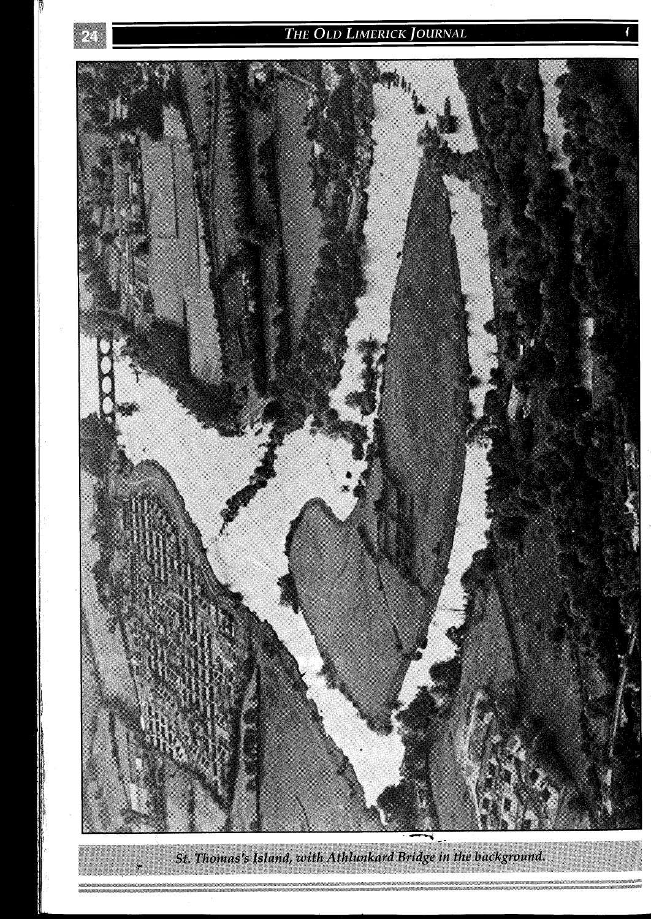